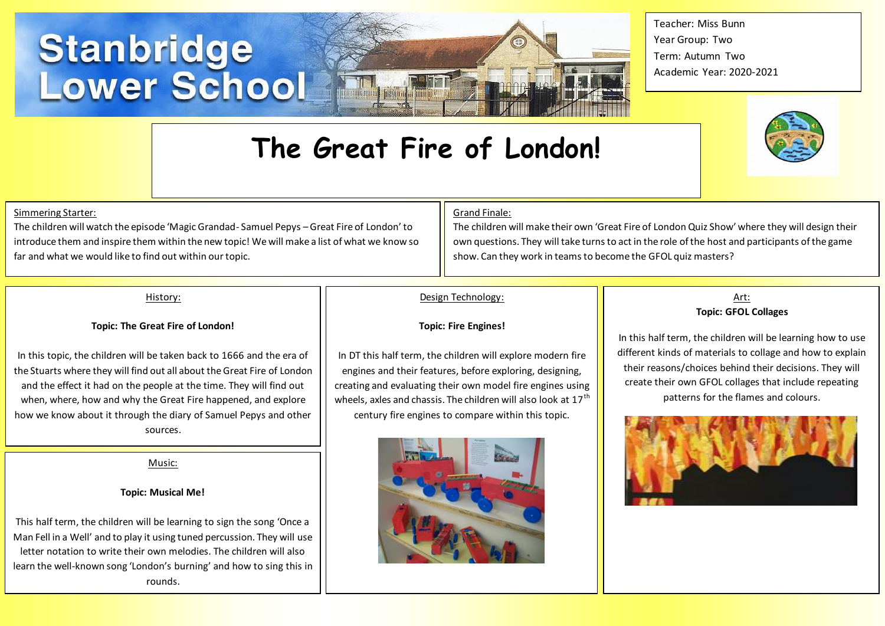# Stanbridge<br>Lower School



Teacher: Miss Bunn Year Group: Two Term: Autumn Two Academic Year: 2020-2021



# Simmering Starter:

The children will watch the episode 'Magic Grandad- Samuel Pepys –Great Fire of London' to introduce them and inspire them within the new topic! We will make a list of what we know so far and what we would like to find out within our topic.

# Grand Finale:

The children will make their own 'Great Fire of London Quiz Show' where they will design their own questions. They will take turns to act in the role of the host and participants of the game show. Can they work in teams to become the GFOL quiz masters?

# History:

## **Topic: The Great Fire of London!**

In this topic, the children will be taken back to 1666 and the era of the Stuarts where they will find out all about the Great Fire of London and the effect it had on the people at the time. They will find out when, where, how and why the Great Fire happened, and explore how we know about it through the diary of Samuel Pepys and other sources.

Music:

# **Topic: Musical Me!**

This half term, the children will be learning to sign the song 'Once a Man Fell in a Well' and to play it using tuned percussion. They will use letter notation to write their own melodies. The children will also learn the well-known song 'London's burning' and how to sing this in rounds.

# Design Technology:

**The Great Fire of London!**

## **Topic: Fire Engines!**

In DT this half term, the children will explore modern fire engines and their features, before exploring, designing, creating and evaluating their own model fire engines using wheels, axles and chassis. The children will also look at  $17<sup>th</sup>$ century fire engines to compare within this topic.



# Art: **Topic: GFOL Collages**

In this half term, the children will be learning how to use different kinds of materials to collage and how to explain their reasons/choices behind their decisions. They will create their own GFOL collages that include repeating patterns for the flames and colours.